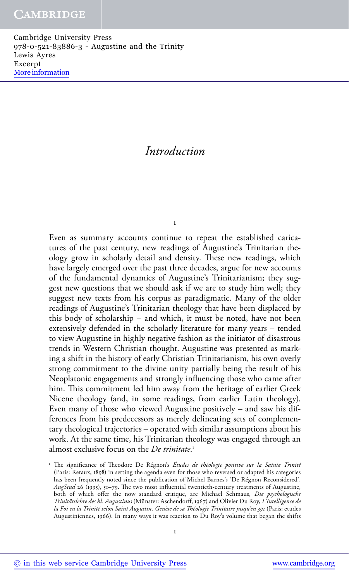# *Introduction*

i

Even as summary accounts continue to repeat the established caricatures of the past century, new readings of Augustine's Trinitarian theology grow in scholarly detail and density. These new readings, which have largely emerged over the past three decades, argue for new accounts of the fundamental dynamics of Augustine's Trinitarianism; they suggest new questions that we should ask if we are to study him well; they suggest new texts from his corpus as paradigmatic. Many of the older readings of Augustine's Trinitarian theology that have been displaced by this body of scholarship – and which, it must be noted, have not been extensively defended in the scholarly literature for many years – tended to view Augustine in highly negative fashion as the initiator of disastrous trends in Western Christian thought. Augustine was presented as marking a shift in the history of early Christian Trinitarianism, his own overly strong commitment to the divine unity partially being the result of his Neoplatonic engagements and strongly influencing those who came after him. This commitment led him away from the heritage of earlier Greek Nicene theology (and, in some readings, from earlier Latin theology). Even many of those who viewed Augustine positively – and saw his differences from his predecessors as merely delineating sets of complementary theological trajectories – operated with similar assumptions about his work. At the same time, his Trinitarian theology was engaged through an almost exclusive focus on the *De trinitate*. 1

<sup>1</sup> The significance of Theodore De Régnon's *Études de théologie positive sur la Sainte Trinité* (Paris: Retaux, 1898) in setting the agenda even for those who reversed or adapted his categories has been frequently noted since the publication of Michel Barnes's 'De Régnon Reconsidered', *AugStud* 26 (1995), 51–79. The two most influential twentieth-century treatments of Augustine, both of which offer the now standard critique, are Michael Schmaus, *Die psychologische Trinitätslehre des hl. Augustinus* (Münster: Aschendorff, 1967) and Olivier Du Roy, *L'Intelligence de la Foi en la Trinité selon Saint Augustin. Genèse de sa Théologie Trinitaire jusqu'en 391* (Paris: etudes Augustiniennes, 1966). In many ways it was reaction to Du Roy's volume that began the shifts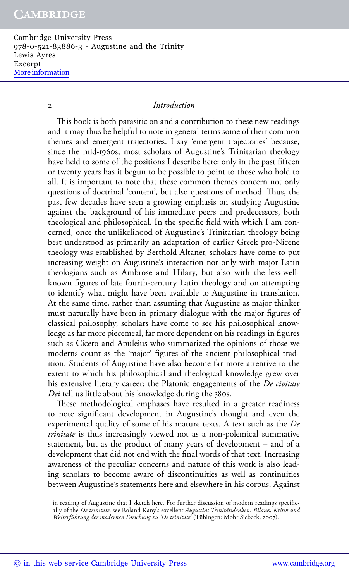# 2 *Introduction*

This book is both parasitic on and a contribution to these new readings and it may thus be helpful to note in general terms some of their common themes and emergent trajectories. I say 'emergent trajectories' because, since the mid-1960s, most scholars of Augustine's Trinitarian theology have held to some of the positions I describe here: only in the past fifteen or twenty years has it begun to be possible to point to those who hold to all. It is important to note that these common themes concern not only questions of doctrinal 'content', but also questions of method. Thus, the past few decades have seen a growing emphasis on studying Augustine against the background of his immediate peers and predecessors, both theological and philosophical. In the specific field with which I am concerned, once the unlikelihood of Augustine's Trinitarian theology being best understood as primarily an adaptation of earlier Greek pro-Nicene theology was established by Berthold Altaner, scholars have come to put increasing weight on Augustine's interaction not only with major Latin theologians such as Ambrose and Hilary, but also with the less-wellknown figures of late fourth-century Latin theology and on attempting to identify what might have been available to Augustine in translation. At the same time, rather than assuming that Augustine as major thinker must naturally have been in primary dialogue with the major figures of classical philosophy, scholars have come to see his philosophical knowledge as far more piecemeal, far more dependent on his readings in figures such as Cicero and Apuleius who summarized the opinions of those we moderns count as the 'major' figures of the ancient philosophical tradition. Students of Augustine have also become far more attentive to the extent to which his philosophical and theological knowledge grew over his extensive literary career: the Platonic engagements of the *De civitate Dei* tell us little about his knowledge during the 380s.

These methodological emphases have resulted in a greater readiness to note significant development in Augustine's thought and even the experimental quality of some of his mature texts. A text such as the *De trinitate* is thus increasingly viewed not as a non-polemical summative statement, but as the product of many years of development – and of a development that did not end with the final words of that text. Increasing awareness of the peculiar concerns and nature of this work is also leading scholars to become aware of discontinuities as well as continuities between Augustine's statements here and elsewhere in his corpus. Against

in reading of Augustine that I sketch here. For further discussion of modern readings specifically of the *De trinitate*, see Roland Kany's excellent *Augustins Trinitätsdenken. Bilanz, Kritik und Weiterführung der modernen Forschung zu 'De trinitate'* (Tübingen: Mohr Siebeck, 2007).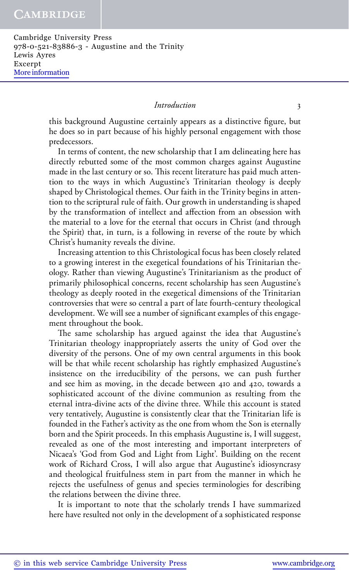#### *Introduction* 3

this background Augustine certainly appears as a distinctive figure, but he does so in part because of his highly personal engagement with those predecessors.

In terms of content, the new scholarship that I am delineating here has directly rebutted some of the most common charges against Augustine made in the last century or so. This recent literature has paid much attention to the ways in which Augustine's Trinitarian theology is deeply shaped by Christological themes. Our faith in the Trinity begins in attention to the scriptural rule of faith. Our growth in understanding is shaped by the transformation of intellect and affection from an obsession with the material to a love for the eternal that occurs in Christ (and through the Spirit) that, in turn, is a following in reverse of the route by which Christ's humanity reveals the divine.

Increasing attention to this Christological focus has been closely related to a growing interest in the exegetical foundations of his Trinitarian theology. Rather than viewing Augustine's Trinitarianism as the product of primarily philosophical concerns, recent scholarship has seen Augustine's theology as deeply rooted in the exegetical dimensions of the Trinitarian controversies that were so central a part of late fourth-century theological development. We will see a number of significant examples of this engagement throughout the book.

The same scholarship has argued against the idea that Augustine's Trinitarian theology inappropriately asserts the unity of God over the diversity of the persons. One of my own central arguments in this book will be that while recent scholarship has rightly emphasized Augustine's insistence on the irreducibility of the persons, we can push further and see him as moving, in the decade between 410 and 420, towards a sophisticated account of the divine communion as resulting from the eternal intra-divine acts of the divine three. While this account is stated very tentatively, Augustine is consistently clear that the Trinitarian life is founded in the Father's activity as the one from whom the Son is eternally born and the Spirit proceeds. In this emphasis Augustine is, I will suggest, revealed as one of the most interesting and important interpreters of Nicaea's 'God from God and Light from Light'. Building on the recent work of Richard Cross, I will also argue that Augustine's idiosyncrasy and theological fruitfulness stem in part from the manner in which he rejects the usefulness of genus and species terminologies for describing the relations between the divine three.

It is important to note that the scholarly trends I have summarized here have resulted not only in the development of a sophisticated response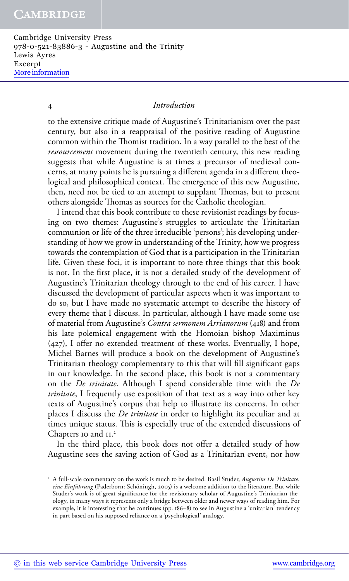#### 4 *Introduction*

to the extensive critique made of Augustine's Trinitarianism over the past century, but also in a reappraisal of the positive reading of Augustine common within the Thomist tradition. In a way parallel to the best of the *ressourcement* movement during the twentieth century, this new reading suggests that while Augustine is at times a precursor of medieval concerns, at many points he is pursuing a different agenda in a different theological and philosophical context. The emergence of this new Augustine, then, need not be tied to an attempt to supplant Thomas, but to present others alongside Thomas as sources for the Catholic theologian.

I intend that this book contribute to these revisionist readings by focusing on two themes: Augustine's struggles to articulate the Trinitarian communion or life of the three irreducible 'persons'; his developing understanding of how we grow in understanding of the Trinity, how we progress towards the contemplation of God that is a participation in the Trinitarian life. Given these foci, it is important to note three things that this book is not. In the first place, it is not a detailed study of the development of Augustine's Trinitarian theology through to the end of his career. I have discussed the development of particular aspects when it was important to do so, but I have made no systematic attempt to describe the history of every theme that I discuss. In particular, although I have made some use of material from Augustine's *Contra sermonem Arrianorum* (418) and from his late polemical engagement with the Homoian bishop Maximinus (427), I offer no extended treatment of these works. Eventually, I hope, Michel Barnes will produce a book on the development of Augustine's Trinitarian theology complementary to this that will fill significant gaps in our knowledge. In the second place, this book is not a commentary on the *De trinitate*. Although I spend considerable time with the *De trinitate*, I frequently use exposition of that text as a way into other key texts of Augustine's corpus that help to illustrate its concerns. In other places I discuss the *De trinitate* in order to highlight its peculiar and at times unique status. This is especially true of the extended discussions of Chapters 10 and 11.<sup>2</sup>

In the third place, this book does not offer a detailed study of how Augustine sees the saving action of God as a Trinitarian event, nor how

<sup>2</sup> A full-scale commentary on the work is much to be desired. Basil Studer, *Augustins De Trinitate. eine Einführung* (Paderborn: Schöningh, 2005) is a welcome addition to the literature. But while Studer's work is of great significance for the revisionary scholar of Augustine's Trinitarian theology, in many ways it represents only a bridge between older and newer ways of reading him. For example, it is interesting that he continues (pp. 186–8) to see in Augustine a 'unitarian' tendency in part based on his supposed reliance on a 'psychological' analogy.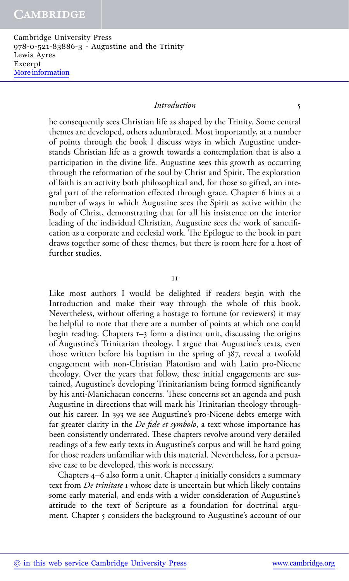#### *Introduction* 5

he consequently sees Christian life as shaped by the Trinity. Some central themes are developed, others adumbrated. Most importantly, at a number of points through the book I discuss ways in which Augustine understands Christian life as a growth towards a contemplation that is also a participation in the divine life. Augustine sees this growth as occurring through the reformation of the soul by Christ and Spirit. The exploration of faith is an activity both philosophical and, for those so gifted, an integral part of the reformation effected through grace. Chapter 6 hints at a number of ways in which Augustine sees the Spirit as active within the Body of Christ, demonstrating that for all his insistence on the interior leading of the individual Christian, Augustine sees the work of sanctification as a corporate and ecclesial work. The Epilogue to the book in part draws together some of these themes, but there is room here for a host of further studies.

ii

Like most authors I would be delighted if readers begin with the Introduction and make their way through the whole of this book. Nevertheless, without offering a hostage to fortune (or reviewers) it may be helpful to note that there are a number of points at which one could begin reading. Chapters 1–3 form a distinct unit, discussing the origins of Augustine's Trinitarian theology. I argue that Augustine's texts, even those written before his baptism in the spring of 387, reveal a twofold engagement with non-Christian Platonism and with Latin pro-Nicene theology. Over the years that follow, these initial engagements are sustained, Augustine's developing Trinitarianism being formed significantly by his anti-Manichaean concerns. These concerns set an agenda and push Augustine in directions that will mark his Trinitarian theology throughout his career. In 393 we see Augustine's pro-Nicene debts emerge with far greater clarity in the *De fide et symbolo*, a text whose importance has been consistently underrated. These chapters revolve around very detailed readings of a few early texts in Augustine's corpus and will be hard going for those readers unfamiliar with this material. Nevertheless, for a persuasive case to be developed, this work is necessary.

Chapters 4–6 also form a unit. Chapter 4 initially considers a summary text from *De trinitate* 1 whose date is uncertain but which likely contains some early material, and ends with a wider consideration of Augustine's attitude to the text of Scripture as a foundation for doctrinal argument. Chapter 5 considers the background to Augustine's account of our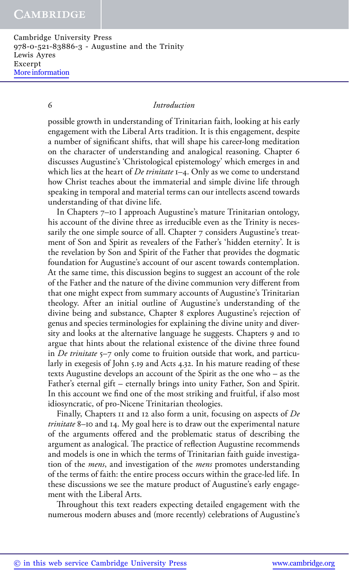## 6 *Introduction*

possible growth in understanding of Trinitarian faith, looking at his early engagement with the Liberal Arts tradition. It is this engagement, despite a number of significant shifts, that will shape his career-long meditation on the character of understanding and analogical reasoning. Chapter 6 discusses Augustine's 'Christological epistemology' which emerges in and which lies at the heart of *De trinitate* 1–4. Only as we come to understand how Christ teaches about the immaterial and simple divine life through speaking in temporal and material terms can our intellects ascend towards understanding of that divine life.

In Chapters 7–10 I approach Augustine's mature Trinitarian ontology, his account of the divine three as irreducible even as the Trinity is necessarily the one simple source of all. Chapter 7 considers Augustine's treatment of Son and Spirit as revealers of the Father's 'hidden eternity'. It is the revelation by Son and Spirit of the Father that provides the dogmatic foundation for Augustine's account of our ascent towards contemplation. At the same time, this discussion begins to suggest an account of the role of the Father and the nature of the divine communion very different from that one might expect from summary accounts of Augustine's Trinitarian theology. After an initial outline of Augustine's understanding of the divine being and substance, Chapter 8 explores Augustine's rejection of genus and species terminologies for explaining the divine unity and diversity and looks at the alternative language he suggests. Chapters 9 and 10 argue that hints about the relational existence of the divine three found in *De trinitate* 5–7 only come to fruition outside that work, and particularly in exegesis of John 5.19 and Acts 4.32. In his mature reading of these texts Augustine develops an account of the Spirit as the one who – as the Father's eternal gift – eternally brings into unity Father, Son and Spirit. In this account we find one of the most striking and fruitful, if also most idiosyncratic, of pro-Nicene Trinitarian theologies.

Finally, Chapters 11 and 12 also form a unit, focusing on aspects of *De trinitate* 8–10 and 14. My goal here is to draw out the experimental nature of the arguments offered and the problematic status of describing the argument as analogical. The practice of reflection Augustine recommends and models is one in which the terms of Trinitarian faith guide investigation of the *mens*, and investigation of the *mens* promotes understanding of the terms of faith: the entire process occurs within the grace-led life. In these discussions we see the mature product of Augustine's early engagement with the Liberal Arts.

Throughout this text readers expecting detailed engagement with the numerous modern abuses and (more recently) celebrations of Augustine's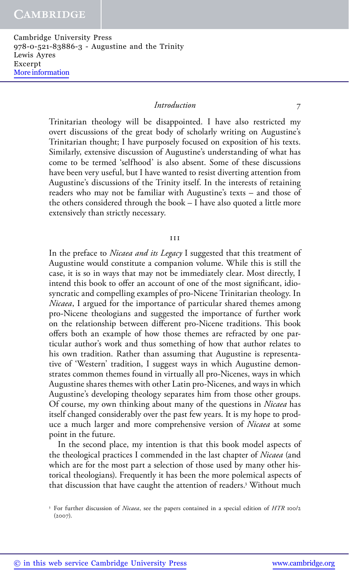#### *Introduction* 7

Trinitarian theology will be disappointed. I have also restricted my overt discussions of the great body of scholarly writing on Augustine's Trinitarian thought; I have purposely focused on exposition of his texts. Similarly, extensive discussion of Augustine's understanding of what has come to be termed 'selfhood' is also absent. Some of these discussions have been very useful, but I have wanted to resist diverting attention from Augustine's discussions of the Trinity itself. In the interests of retaining readers who may not be familiar with Augustine's texts – and those of the others considered through the book – I have also quoted a little more extensively than strictly necessary.

#### iii

In the preface to *Nicaea and its Legacy* I suggested that this treatment of Augustine would constitute a companion volume. While this is still the case, it is so in ways that may not be immediately clear. Most directly, I intend this book to offer an account of one of the most significant, idiosyncratic and compelling examples of pro-Nicene Trinitarian theology. In *Nicaea*, I argued for the importance of particular shared themes among pro-Nicene theologians and suggested the importance of further work on the relationship between different pro-Nicene traditions. This book offers both an example of how those themes are refracted by one particular author's work and thus something of how that author relates to his own tradition. Rather than assuming that Augustine is representative of 'Western' tradition, I suggest ways in which Augustine demonstrates common themes found in virtually all pro-Nicenes, ways in which Augustine shares themes with other Latin pro-Nicenes, and ways in which Augustine's developing theology separates him from those other groups. Of course, my own thinking about many of the questions in *Nicaea* has itself changed considerably over the past few years. It is my hope to produce a much larger and more comprehensive version of *Nicaea* at some point in the future.

In the second place, my intention is that this book model aspects of the theological practices I commended in the last chapter of *Nicaea* (and which are for the most part a selection of those used by many other historical theologians). Frequently it has been the more polemical aspects of that discussion that have caught the attention of readers.3 Without much

<sup>3</sup> For further discussion of *Nicaea*, see the papers contained in a special edition of *HTR* 100/2 (2007).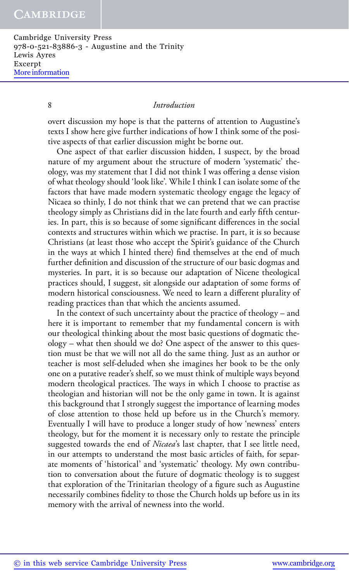## 8 *Introduction*

overt discussion my hope is that the patterns of attention to Augustine's texts I show here give further indications of how I think some of the positive aspects of that earlier discussion might be borne out.

One aspect of that earlier discussion hidden, I suspect, by the broad nature of my argument about the structure of modern 'systematic' theology, was my statement that I did not think I was offering a dense vision of what theology should 'look like'. While I think I can isolate some of the factors that have made modern systematic theology engage the legacy of Nicaea so thinly, I do not think that we can pretend that we can practise theology simply as Christians did in the late fourth and early fifth centuries. In part, this is so because of some significant differences in the social contexts and structures within which we practise. In part, it is so because Christians (at least those who accept the Spirit's guidance of the Church in the ways at which I hinted there) find themselves at the end of much further definition and discussion of the structure of our basic dogmas and mysteries. In part, it is so because our adaptation of Nicene theological practices should, I suggest, sit alongside our adaptation of some forms of modern historical consciousness. We need to learn a different plurality of reading practices than that which the ancients assumed.

In the context of such uncertainty about the practice of theology – and here it is important to remember that my fundamental concern is with our theological thinking about the most basic questions of dogmatic theology – what then should we do? One aspect of the answer to this question must be that we will not all do the same thing. Just as an author or teacher is most self-deluded when she imagines her book to be the only one on a putative reader's shelf, so we must think of multiple ways beyond modern theological practices. The ways in which I choose to practise as theologian and historian will not be the only game in town. It is against this background that I strongly suggest the importance of learning modes of close attention to those held up before us in the Church's memory. Eventually I will have to produce a longer study of how 'newness' enters theology, but for the moment it is necessary only to restate the principle suggested towards the end of *Nicaea*'s last chapter, that I see little need, in our attempts to understand the most basic articles of faith, for separate moments of 'historical' and 'systematic' theology. My own contribution to conversation about the future of dogmatic theology is to suggest that exploration of the Trinitarian theology of a figure such as Augustine necessarily combines fidelity to those the Church holds up before us in its memory with the arrival of newness into the world.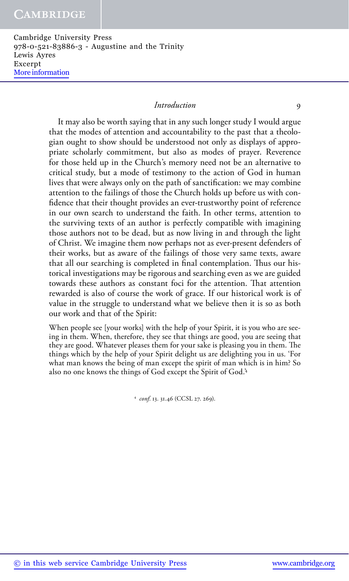## *Introduction* 9

It may also be worth saying that in any such longer study I would argue that the modes of attention and accountability to the past that a theologian ought to show should be understood not only as displays of appropriate scholarly commitment, but also as modes of prayer. Reverence for those held up in the Church's memory need not be an alternative to critical study, but a mode of testimony to the action of God in human lives that were always only on the path of sanctification: we may combine attention to the failings of those the Church holds up before us with confidence that their thought provides an ever-trustworthy point of reference in our own search to understand the faith. In other terms, attention to the surviving texts of an author is perfectly compatible with imagining those authors not to be dead, but as now living in and through the light of Christ. We imagine them now perhaps not as ever-present defenders of their works, but as aware of the failings of those very same texts, aware that all our searching is completed in final contemplation. Thus our historical investigations may be rigorous and searching even as we are guided towards these authors as constant foci for the attention. That attention rewarded is also of course the work of grace. If our historical work is of value in the struggle to understand what we believe then it is so as both our work and that of the Spirit:

When people see [your works] with the help of your Spirit, it is you who are seeing in them. When, therefore, they see that things are good, you are seeing that they are good. Whatever pleases them for your sake is pleasing you in them. The things which by the help of your Spirit delight us are delighting you in us. 'For what man knows the being of man except the spirit of man which is in him? So also no one knows the things of God except the Spirit of God.'4

<sup>4</sup> *conf*. 13. 31.46 (CCSL 27. 269).